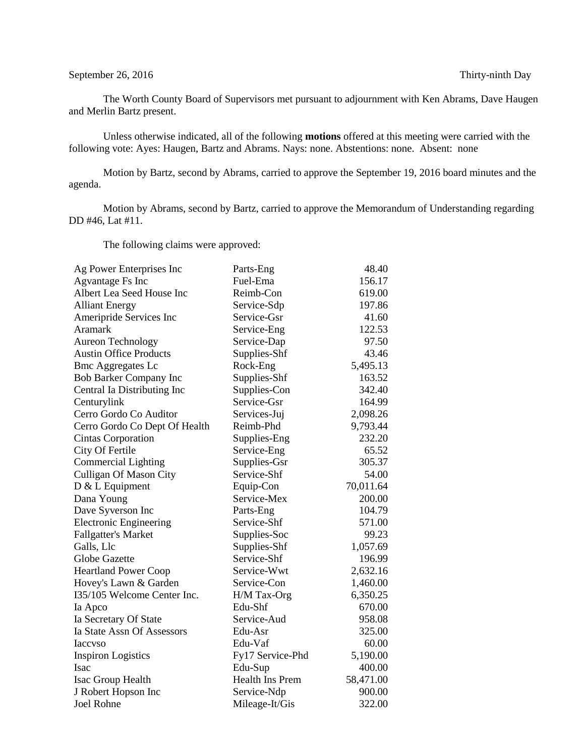## September 26, 2016 Thirty-ninth Day

The Worth County Board of Supervisors met pursuant to adjournment with Ken Abrams, Dave Haugen and Merlin Bartz present.

Unless otherwise indicated, all of the following **motions** offered at this meeting were carried with the following vote: Ayes: Haugen, Bartz and Abrams. Nays: none. Abstentions: none. Absent: none

Motion by Bartz, second by Abrams, carried to approve the September 19, 2016 board minutes and the agenda.

Motion by Abrams, second by Bartz, carried to approve the Memorandum of Understanding regarding DD #46, Lat #11.

The following claims were approved:

| Ag Power Enterprises Inc      | Parts-Eng        | 48.40     |
|-------------------------------|------------------|-----------|
| <b>Agvantage Fs Inc</b>       | Fuel-Ema         | 156.17    |
| Albert Lea Seed House Inc     | Reimb-Con        | 619.00    |
| <b>Alliant Energy</b>         | Service-Sdp      | 197.86    |
| Ameripride Services Inc       | Service-Gsr      | 41.60     |
| Aramark                       | Service-Eng      | 122.53    |
| <b>Aureon Technology</b>      | Service-Dap      | 97.50     |
| <b>Austin Office Products</b> | Supplies-Shf     | 43.46     |
| <b>Bmc Aggregates Lc</b>      | Rock-Eng         | 5,495.13  |
| <b>Bob Barker Company Inc</b> | Supplies-Shf     | 163.52    |
| Central Ia Distributing Inc   | Supplies-Con     | 342.40    |
| Centurylink                   | Service-Gsr      | 164.99    |
| Cerro Gordo Co Auditor        | Services-Juj     | 2,098.26  |
| Cerro Gordo Co Dept Of Health | Reimb-Phd        | 9,793.44  |
| Cintas Corporation            | Supplies-Eng     | 232.20    |
| City Of Fertile               | Service-Eng      | 65.52     |
| <b>Commercial Lighting</b>    | Supplies-Gsr     | 305.37    |
| Culligan Of Mason City        | Service-Shf      | 54.00     |
| $D & L$ Equipment             | Equip-Con        | 70,011.64 |
| Dana Young                    | Service-Mex      | 200.00    |
| Dave Syverson Inc             | Parts-Eng        | 104.79    |
| <b>Electronic Engineering</b> | Service-Shf      | 571.00    |
| <b>Fallgatter's Market</b>    | Supplies-Soc     | 99.23     |
| Galls, Llc                    | Supplies-Shf     | 1,057.69  |
| Globe Gazette                 | Service-Shf      | 196.99    |
| <b>Heartland Power Coop</b>   | Service-Wwt      | 2,632.16  |
| Hovey's Lawn & Garden         | Service-Con      | 1,460.00  |
| I35/105 Welcome Center Inc.   | H/M Tax-Org      | 6,350.25  |
| Ia Apco                       | Edu-Shf          | 670.00    |
| Ia Secretary Of State         | Service-Aud      | 958.08    |
| Ia State Assn Of Assessors    | Edu-Asr          | 325.00    |
| <b>Iaccyso</b>                | Edu-Vaf          | 60.00     |
| <b>Inspiron Logistics</b>     | Fy17 Service-Phd | 5,190.00  |
| Isac                          | Edu-Sup          | 400.00    |
| Isac Group Health             | Health Ins Prem  | 58,471.00 |
| J Robert Hopson Inc           | Service-Ndp      | 900.00    |
| <b>Joel Rohne</b>             | Mileage-It/Gis   | 322.00    |